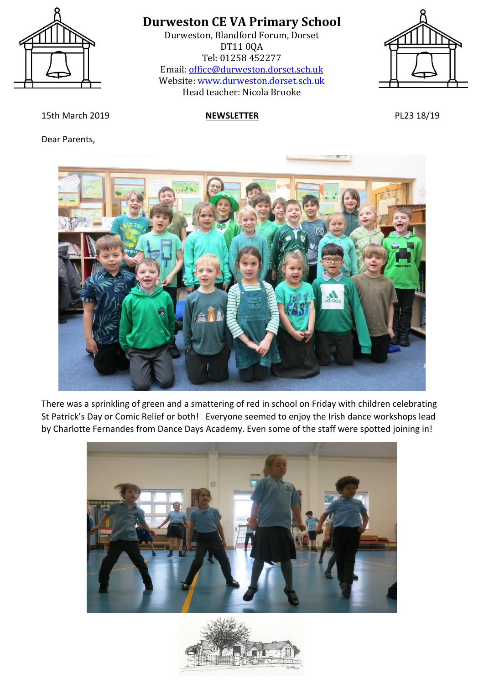

Durweston, Blandford Forum, Dorset DT11 0QA Tel: 01258 452277 Email: [office@durweston.dorset.sch.uk](mailto:office@durweston.dorset.sch.uk) Website: [www.durweston.dorset.sch.uk](http://www.durweston.dorset.sch.uk/) Head teacher: Nicola Brooke



15th March 2019 **NEWSLETTER** PL23 18/19

Dear Parents,



There was a sprinkling of green and a smattering of red in school on Friday with children celebrating St Patrick's Day or Comic Relief or both! Everyone seemed to enjoy the Irish dance workshops lead by Charlotte Fernandes from Dance Days Academy. Even some of the staff were spotted joining in!



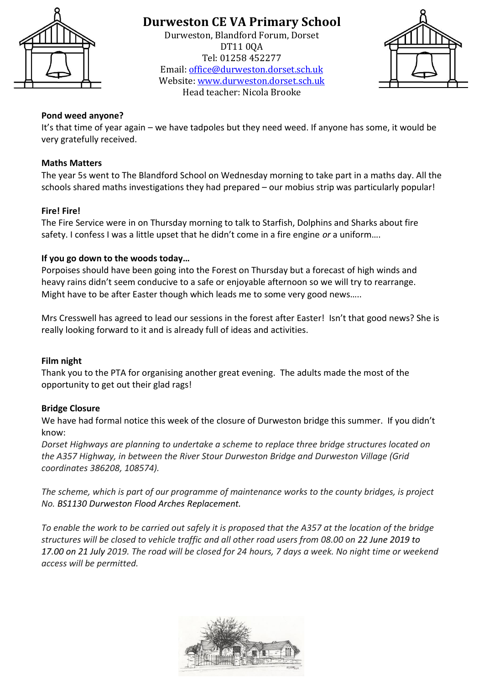

Durweston, Blandford Forum, Dorset DT11 0QA Tel: 01258 452277 Email: [office@durweston.dorset.sch.uk](mailto:office@durweston.dorset.sch.uk) Website: [www.durweston.dorset.sch.uk](http://www.durweston.dorset.sch.uk/) Head teacher: Nicola Brooke



#### **Pond weed anyone?**

It's that time of year again – we have tadpoles but they need weed. If anyone has some, it would be very gratefully received.

#### **Maths Matters**

The year 5s went to The Blandford School on Wednesday morning to take part in a maths day. All the schools shared maths investigations they had prepared – our mobius strip was particularly popular!

#### **Fire! Fire!**

The Fire Service were in on Thursday morning to talk to Starfish, Dolphins and Sharks about fire safety. I confess I was a little upset that he didn't come in a fire engine *or* a uniform….

#### **If you go down to the woods today…**

Porpoises should have been going into the Forest on Thursday but a forecast of high winds and heavy rains didn't seem conducive to a safe or enjoyable afternoon so we will try to rearrange. Might have to be after Easter though which leads me to some very good news…..

Mrs Cresswell has agreed to lead our sessions in the forest after Easter! Isn't that good news? She is really looking forward to it and is already full of ideas and activities.

#### **Film night**

Thank you to the PTA for organising another great evening. The adults made the most of the opportunity to get out their glad rags!

#### **Bridge Closure**

We have had formal notice this week of the closure of Durweston bridge this summer. If you didn't know:

*Dorset Highways are planning to undertake a scheme to replace three bridge structures located on the A357 Highway, in between the River Stour Durweston Bridge and Durweston Village (Grid coordinates 386208, 108574).*

*The scheme, which is part of our programme of maintenance works to the county bridges, is project No. BS1130 Durweston Flood Arches Replacement.*

*To enable the work to be carried out safely it is proposed that the A357 at the location of the bridge structures will be closed to vehicle traffic and all other road users from 08.00 on 22 June 2019 to 17.00 on 21 July 2019. The road will be closed for 24 hours, 7 days a week. No night time or weekend access will be permitted.*

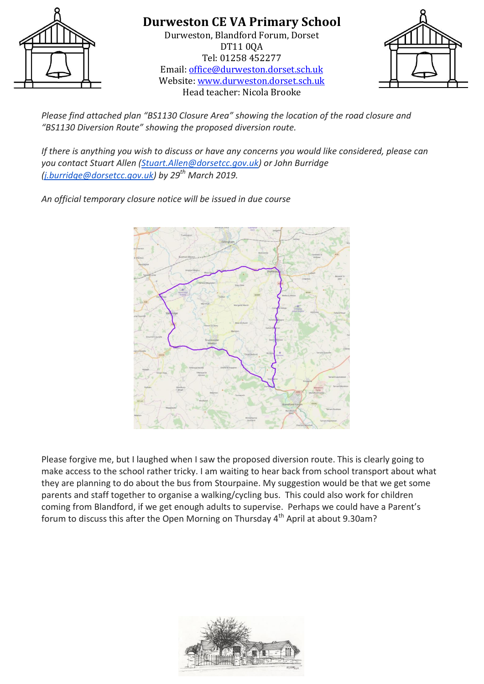

#### **Durweston CE VA Primary School** Durweston, Blandford Forum, Dorset DT11 0QA Tel: 01258 452277 Email: [office@durweston.dorset.sch.uk](mailto:office@durweston.dorset.sch.uk) Website: [www.durweston.dorset.sch.uk](http://www.durweston.dorset.sch.uk/)

Head teacher: Nicola Brooke



*Please find attached plan "BS1130 Closure Area" showing the location of the road closure and "BS1130 Diversion Route" showing the proposed diversion route.*

*If there is anything you wish to discuss or have any concerns you would like considered, please can you contact Stuart Allen [\(Stuart.Allen@dorsetcc.gov.uk\)](mailto:Stuart.Allen@dorsetcc.gov.uk) or John Burridge [\(j.burridge@dorsetcc.gov.uk\)](mailto:j.burridge@dorsetcc.gov.uk) by 29th March 2019.*

*An official temporary closure notice will be issued in due course*



Please forgive me, but I laughed when I saw the proposed diversion route. This is clearly going to make access to the school rather tricky. I am waiting to hear back from school transport about what they are planning to do about the bus from Stourpaine. My suggestion would be that we get some parents and staff together to organise a walking/cycling bus. This could also work for children coming from Blandford, if we get enough adults to supervise. Perhaps we could have a Parent's forum to discuss this after the Open Morning on Thursday  $4<sup>th</sup>$  April at about 9.30am?

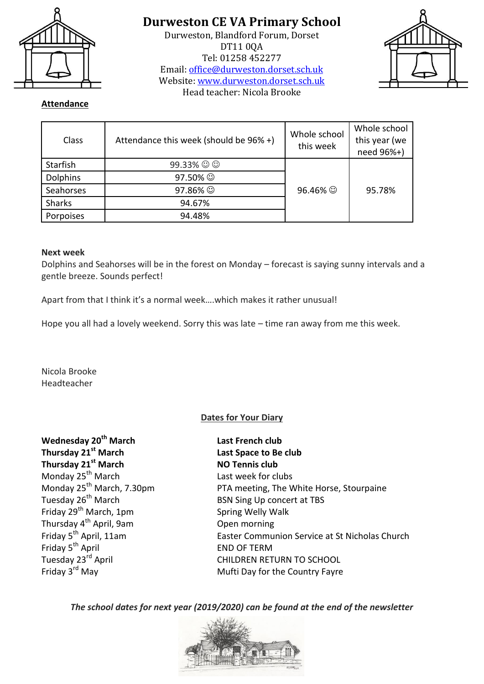

Durweston, Blandford Forum, Dorset DT11 0QA Tel: 01258 452277 Email: [office@durweston.dorset.sch.uk](mailto:office@durweston.dorset.sch.uk) Website: [www.durweston.dorset.sch.uk](http://www.durweston.dorset.sch.uk/) Head teacher: Nicola Brooke



#### **Attendance**

| Class           | Attendance this week (should be 96% +) | Whole school<br>this week | Whole school<br>this year (we<br>need 96%+) |
|-----------------|----------------------------------------|---------------------------|---------------------------------------------|
| Starfish        | $99.33\%$ $\odot$ $\odot$              |                           |                                             |
| <b>Dolphins</b> | 97.50% ©                               |                           |                                             |
| Seahorses       | 97.86% ©                               | 96.46% ©                  | 95.78%                                      |
| <b>Sharks</b>   | 94.67%                                 |                           |                                             |
| Porpoises       | 94.48%                                 |                           |                                             |

#### **Next week**

Dolphins and Seahorses will be in the forest on Monday – forecast is saying sunny intervals and a gentle breeze. Sounds perfect!

Apart from that I think it's a normal week….which makes it rather unusual!

Hope you all had a lovely weekend. Sorry this was late – time ran away from me this week.

Nicola Brooke Headteacher

#### **Dates for Your Diary**

| Wednesday 20 <sup>th</sup> March      | La             |
|---------------------------------------|----------------|
| Thursday 21 <sup>st</sup> March       | La             |
| Thursday 21 <sup>st</sup> March       | N <sub>C</sub> |
| Monday 25 <sup>th</sup> March         | La             |
| Monday 25 <sup>th</sup> March, 7.30pm | PT             |
| Tuesday 26 <sup>th</sup> March        | BS             |
| Friday 29 <sup>th</sup> March, 1pm    | Sp             |
| Thursday 4 <sup>th</sup> April, 9am   | Or             |
| Friday 5 <sup>th</sup> April, 11am    | Ea             |
| Friday 5 <sup>th</sup> April          | E٨             |
| Tuesday 23 <sup>rd</sup> April        | СF             |
| Friday 3 <sup>rd</sup> May            | M              |

**Wednesday 20th March Last French club Thursday 21st March Last Space to Be club D** Tennis club st week for clubs A meeting, The White Horse, Stourpaine IN Sing Up concert at TBS **Fring Welly Walk** pen morning Ister Communion Service at St Nicholas Church **JD OF TERM HILDREN RETURN TO SCHOOL** ufti Day for the Country Fayre

*The school dates for next year (2019/2020) can be found at the end of the newsletter*